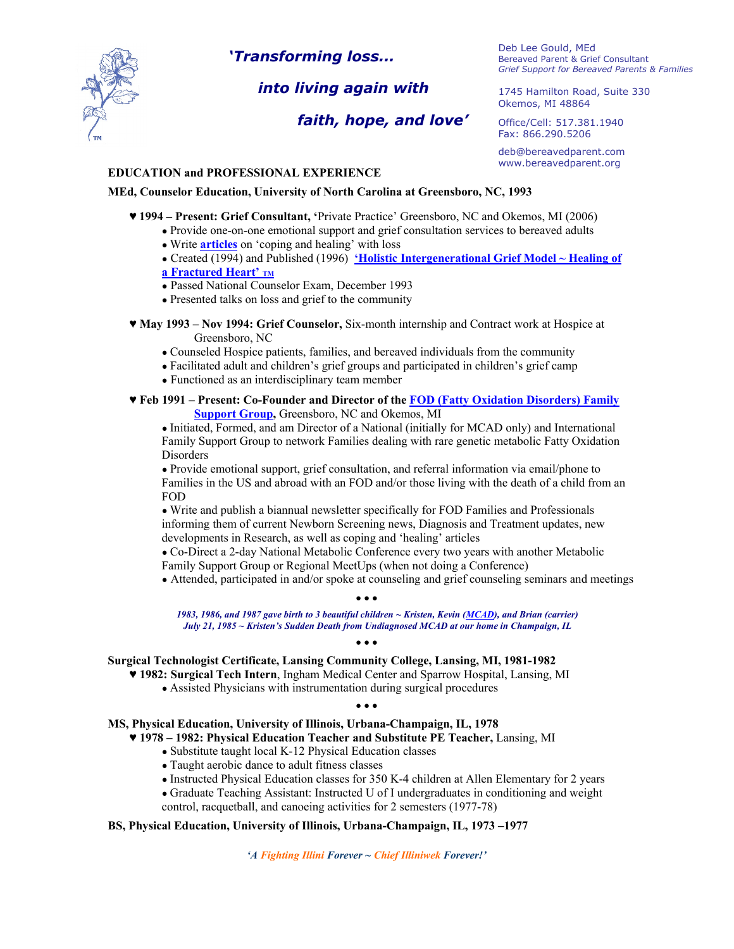

*'Transforming loss...*

# *into living again with*

# *faith, hope, and love'*

Deb Lee Gould, MEd Bereaved Parent & Grief Consultant *Grief Support for Bereaved Parents & Families*

1745 Hamilton Road, Suite 330 Okemos, MI 48864

Office/Cell: 517.381.1940 Fax: 866.290.5206

deb@bereavedparent.com www.bereavedparent.org

### **EDUCATION and PROFESSIONAL EXPERIENCE**

### **MEd, Counselor Education, University of North Carolina at Greensboro, NC, 1993**

- ♥ **1994 – Present: Grief Consultant, '**Private Practice' Greensboro, NC and Okemos, MI (2006)
	- Provide one-on-one emotional support and grief consultation services to bereaved adults
		- Write **[articles](https://bereavedparent.org/grief-articles/)** on 'coping and healing' with loss
	- Created (1994) and Published (1996) **['Holistic Intergenerational Grief Model ~ Healing of](https://bereavedparent.org/wp-content/uploads/2016/09/rev_April_2013_Holistic_IntergenerationalGrief_Model_Articles_for_reading_online-copy.pdf)**
	- **[a Fractured Heart' TM](https://bereavedparent.org/wp-content/uploads/2016/09/rev_April_2013_Holistic_IntergenerationalGrief_Model_Articles_for_reading_online-copy.pdf)**
	- Passed National Counselor Exam, December 1993
	- Presented talks on loss and grief to the community
- ♥ **May 1993 – Nov 1994: Grief Counselor,** Six-month internship and Contract work at Hospice at Greensboro, NC
	- Counseled Hospice patients, families, and bereaved individuals from the community
	- Facilitated adult and children's grief groups and participated in children's grief camp
	- Functioned as an interdisciplinary team member
- ♥ **Feb 1991 – Present: Co-Founder and Director of th[e FOD \(Fatty Oxidation Disorders\) Family](http://www.fodsupport.org/)  [Support Group,](http://www.fodsupport.org/) Greensboro, NC and Okemos, MI**

● Initiated, Formed, and am Director of a National (initially for MCAD only) and International Family Support Group to network Families dealing with rare genetic metabolic Fatty Oxidation Disorders

● Provide emotional support, grief consultation, and referral information via email/phone to Families in the US and abroad with an FOD and/or those living with the death of a child from an FOD

● Write and publish a biannual newsletter specifically for FOD Families and Professionals informing them of current Newborn Screening news, Diagnosis and Treatment updates, new developments in Research, as well as coping and 'healing' articles

● Co-Direct a 2-day National Metabolic Conference every two years with another Metabolic Family Support Group or Regional MeetUps (when not doing a Conference)

● Attended, participated in and/or spoke at counseling and grief counseling seminars and meetings

● ● ●

*1983, 1986, and 1987 gave birth to 3 beautiful children ~ Kristen, Kevin [\(MCAD\),](https://fodsupport.org/description) and Brian (carrier) July 21, 1985 ~ Kristen's Sudden Death from Undiagnosed MCAD at our home in Champaign, IL*

#### ● ● ●

### **Surgical Technologist Certificate, Lansing Community College, Lansing, MI, 1981-1982**

- **♥ 1982: Surgical Tech Intern**, Ingham Medical Center and Sparrow Hospital, Lansing, MI
	- Assisted Physicians with instrumentation during surgical procedures

#### ● ● ●

### **MS, Physical Education, University of Illinois, Urbana-Champaign, IL, 1978**

- ♥ **1978 – 1982: Physical Education Teacher and Substitute PE Teacher,** Lansing, MI
	- Substitute taught local K-12 Physical Education classes
	- Taught aerobic dance to adult fitness classes
	- Instructed Physical Education classes for 350 K-4 children at Allen Elementary for 2 years
	- Graduate Teaching Assistant: Instructed U of I undergraduates in conditioning and weight control, racquetball, and canoeing activities for 2 semesters (1977-78)

### **BS, Physical Education, University of Illinois, Urbana-Champaign, IL, 1973 –1977**

*'A Fighting Illini Forever ~ Chief Illiniwek Forever!'*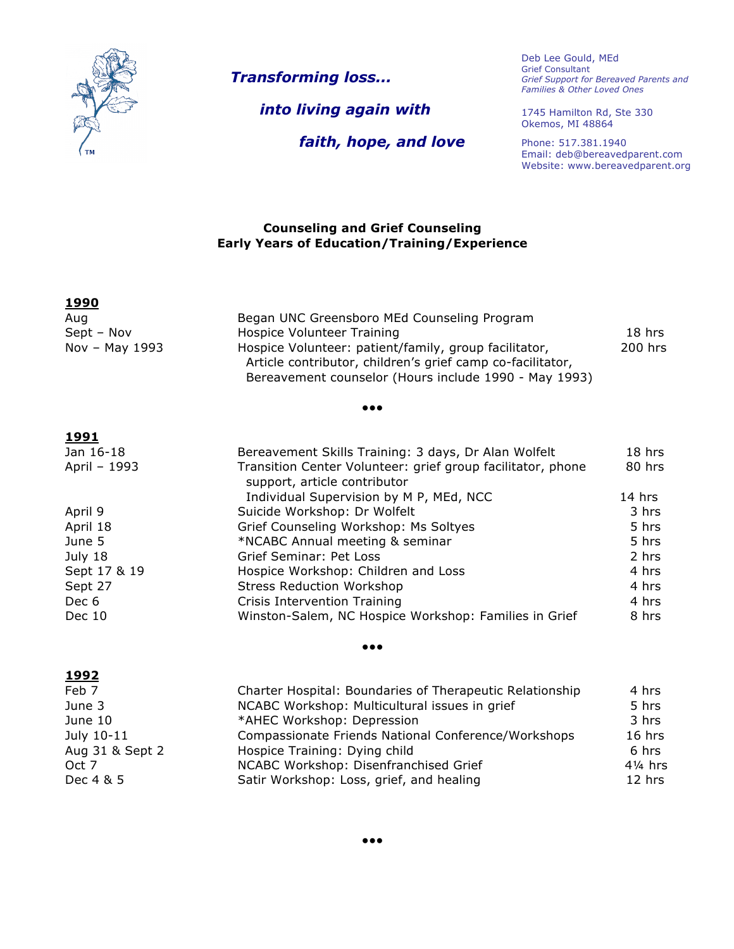

**1992**

*Transforming loss...*

 *into living again with*

Deb Lee Gould, MEd Grief Consultant *Grief Support for Bereaved Parents and Families & Other Loved Ones*

*faith, hope, and love*

1745 Hamilton Rd, Ste 330 Okemos, MI 48864

Phone: 517.381.1940 Email: deb@bereavedparent.com Website: www.bereavedparent.org

### **Counseling and Grief Counseling Early Years of Education/Training/Experience**

| <u>1990</u>    |                                                                                                                                                                              |         |
|----------------|------------------------------------------------------------------------------------------------------------------------------------------------------------------------------|---------|
| Aug            | Began UNC Greensboro MEd Counseling Program                                                                                                                                  |         |
| Sept – Nov     | Hospice Volunteer Training                                                                                                                                                   | 18 hrs  |
| Nov - May 1993 | Hospice Volunteer: patient/family, group facilitator,<br>Article contributor, children's grief camp co-facilitator,<br>Bereavement counselor (Hours include 1990 - May 1993) | 200 hrs |
|                | $\bullet\bullet\bullet$                                                                                                                                                      |         |
| 1991           |                                                                                                                                                                              |         |
| Jan 16-18      | Bereavement Skills Training: 3 days, Dr Alan Wolfelt                                                                                                                         | 18 hrs  |
| April - 1993   | Transition Center Volunteer: grief group facilitator, phone                                                                                                                  | 80 hrs  |

|              | support, article contributor                          |        |
|--------------|-------------------------------------------------------|--------|
|              | Individual Supervision by M P, MEd, NCC               | 14 hrs |
| April 9      | Suicide Workshop: Dr Wolfelt                          | 3 hrs  |
| April 18     | Grief Counseling Workshop: Ms Soltyes                 | 5 hrs  |
| June 5       | *NCABC Annual meeting & seminar                       | 5 hrs  |
| July 18      | Grief Seminar: Pet Loss                               | 2 hrs  |
| Sept 17 & 19 | Hospice Workshop: Children and Loss                   | 4 hrs  |
| Sept 27      | <b>Stress Reduction Workshop</b>                      | 4 hrs  |
| Dec 6        | Crisis Intervention Training                          | 4 hrs  |
| Dec 10       | Winston-Salem, NC Hospice Workshop: Families in Grief | 8 hrs  |
|              |                                                       |        |

#### ●●●

| <u> 1992 </u>   |                                                          |                    |
|-----------------|----------------------------------------------------------|--------------------|
| Feb 7           | Charter Hospital: Boundaries of Therapeutic Relationship | 4 hrs              |
| June 3          | NCABC Workshop: Multicultural issues in grief            | 5 hrs              |
| June 10         | *AHEC Workshop: Depression                               | 3 hrs              |
| July 10-11      | Compassionate Friends National Conference/Workshops      | 16 hrs             |
| Aug 31 & Sept 2 | Hospice Training: Dying child                            | 6 hrs              |
| Oct 7           | NCABC Workshop: Disenfranchised Grief                    | $4\frac{1}{4}$ hrs |
| Dec 4 & 5       | Satir Workshop: Loss, grief, and healing                 | $12$ hrs           |
|                 |                                                          |                    |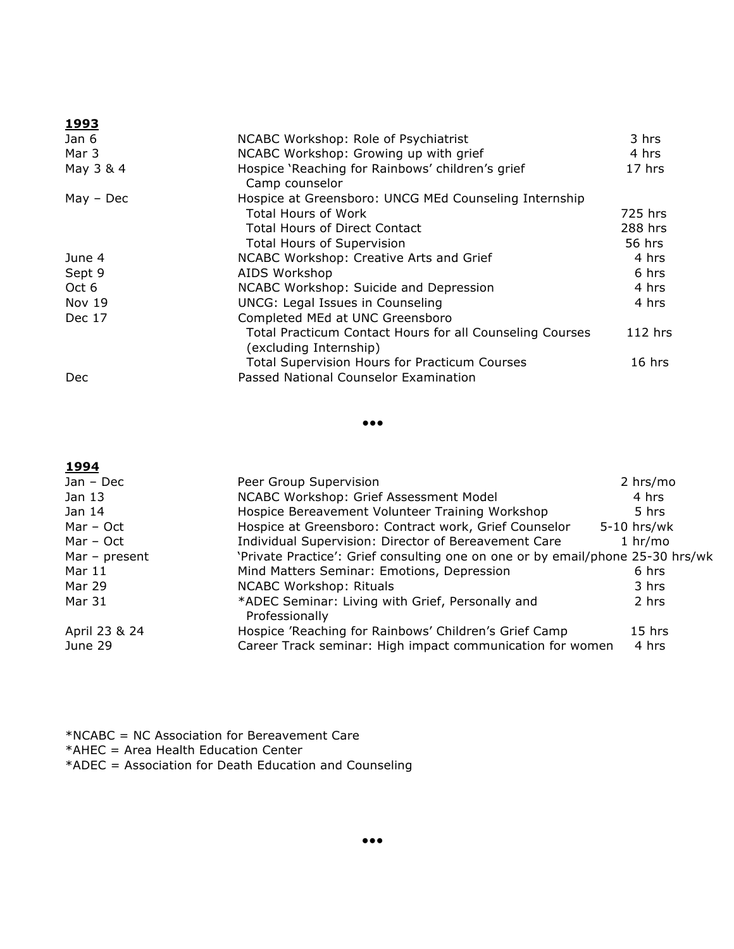| エンンノ          |                                                                                    |           |
|---------------|------------------------------------------------------------------------------------|-----------|
| Jan 6         | NCABC Workshop: Role of Psychiatrist                                               | 3 hrs     |
| Mar 3         | NCABC Workshop: Growing up with grief                                              | 4 hrs     |
| May 3 & 4     | Hospice 'Reaching for Rainbows' children's grief<br>Camp counselor                 | 17 hrs    |
| $May - Dec$   | Hospice at Greensboro: UNCG MEd Counseling Internship                              |           |
|               | <b>Total Hours of Work</b>                                                         | 725 hrs   |
|               | <b>Total Hours of Direct Contact</b>                                               | 288 hrs   |
|               | <b>Total Hours of Supervision</b>                                                  | 56 hrs    |
| June 4        | NCABC Workshop: Creative Arts and Grief                                            | 4 hrs     |
| Sept 9        | AIDS Workshop                                                                      | 6 hrs     |
| Oct 6         | NCABC Workshop: Suicide and Depression                                             | 4 hrs     |
| <b>Nov 19</b> | UNCG: Legal Issues in Counseling                                                   | 4 hrs     |
| Dec 17        | Completed MEd at UNC Greensboro                                                    |           |
|               | Total Practicum Contact Hours for all Counseling Courses<br>(excluding Internship) | $112$ hrs |
|               | <b>Total Supervision Hours for Practicum Courses</b>                               | $16$ hrs  |
| Dec           | Passed National Counselor Examination                                              |           |

●●●

# **1994** Jan – Dec Peer Group Supervision 2 hrs/mo Jan 13 **NICABC Workshop: Grief Assessment Model** 4 hrs Jan 14 Hospice Bereavement Volunteer Training Workshop 5 hrs Mar – Oct **Hospice at Greensboro: Contract work, Grief Counselor** 5-10 hrs/wk Mar – Oct 1 hr/mo Individual Supervision: Director of Bereavement Care 1 hr/mo Mar - present 'Private Practice': Grief consulting one on one or by email/phone 25-30 hrs/wk Mar 11 Mind Matters Seminar: Emotions, Depression 6 hrs Mar 29 NCABC Workshop: Rituals 3 hrs Mar 31 \*ADEC Seminar: Living with Grief, Personally and 2 hrs Professionally April 23 & 24 Hospice 'Reaching for Rainbows' Children's Grief Camp 15 hrs June 29 Career Track seminar: High impact communication for women 4 hrs

\*NCABC = NC Association for Bereavement Care \*AHEC = Area Health Education Center \*ADEC = Association for Death Education and Counseling

**1993**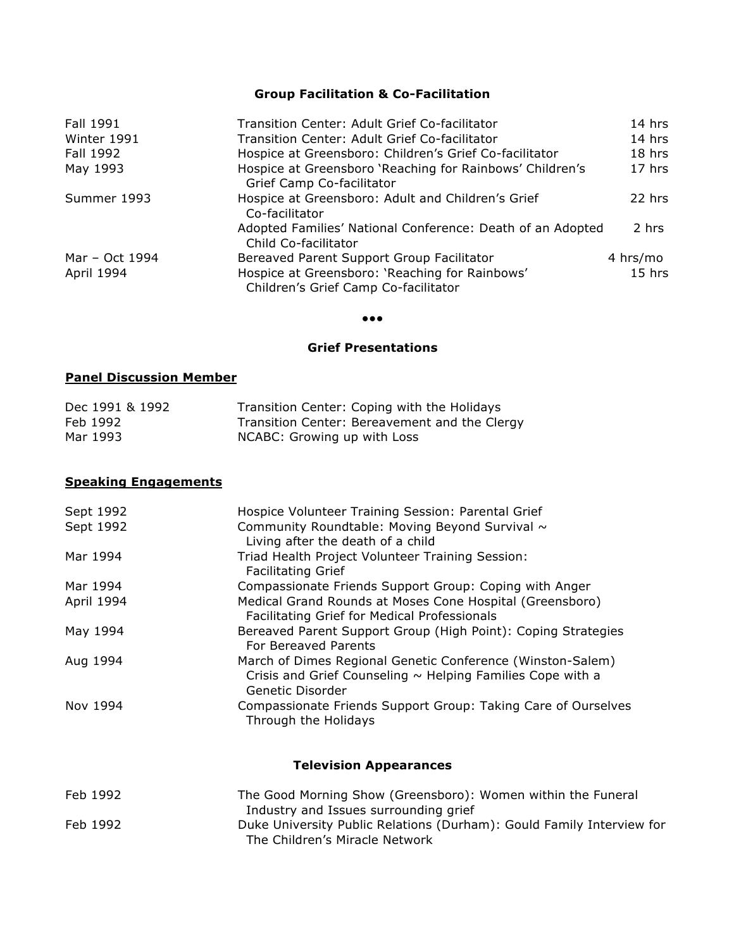## **Group Facilitation & Co-Facilitation**

| Fall 1991      | Transition Center: Adult Grief Co-facilitator                                          | $14$ hrs |
|----------------|----------------------------------------------------------------------------------------|----------|
| Winter 1991    | Transition Center: Adult Grief Co-facilitator                                          | 14 hrs   |
| Fall 1992      | Hospice at Greensboro: Children's Grief Co-facilitator                                 | 18 hrs   |
| May 1993       | Hospice at Greensboro 'Reaching for Rainbows' Children's<br>Grief Camp Co-facilitator  | $17$ hrs |
| Summer 1993    | Hospice at Greensboro: Adult and Children's Grief<br>Co-facilitator                    | $22$ hrs |
|                | Adopted Families' National Conference: Death of an Adopted<br>Child Co-facilitator     | 2 hrs    |
| Mar - Oct 1994 | Bereaved Parent Support Group Facilitator                                              | 4 hrs/mo |
| April 1994     | Hospice at Greensboro: 'Reaching for Rainbows'<br>Children's Grief Camp Co-facilitator | $15$ hrs |

#### ●●●

### **Grief Presentations**

## **Panel Discussion Member**

| Dec 1991 & 1992 | Transition Center: Coping with the Holidays   |
|-----------------|-----------------------------------------------|
| Feb 1992        | Transition Center: Bereavement and the Clergy |
| Mar 1993        | NCABC: Growing up with Loss                   |

## **Speaking Engagements**

| Sept 1992  | Hospice Volunteer Training Session: Parental Grief                                                                                                |
|------------|---------------------------------------------------------------------------------------------------------------------------------------------------|
| Sept 1992  | Community Roundtable: Moving Beyond Survival ~<br>Living after the death of a child                                                               |
| Mar 1994   | Triad Health Project Volunteer Training Session:<br><b>Facilitating Grief</b>                                                                     |
| Mar 1994   | Compassionate Friends Support Group: Coping with Anger                                                                                            |
| April 1994 | Medical Grand Rounds at Moses Cone Hospital (Greensboro)<br>Facilitating Grief for Medical Professionals                                          |
| May 1994   | Bereaved Parent Support Group (High Point): Coping Strategies<br>For Bereaved Parents                                                             |
| Aug 1994   | March of Dimes Regional Genetic Conference (Winston-Salem)<br>Crisis and Grief Counseling $\sim$ Helping Families Cope with a<br>Genetic Disorder |
| Nov 1994   | Compassionate Friends Support Group: Taking Care of Ourselves<br>Through the Holidays                                                             |

# **Television Appearances**

| Feb 1992 | The Good Morning Show (Greensboro): Women within the Funeral          |
|----------|-----------------------------------------------------------------------|
|          | Industry and Issues surrounding grief                                 |
| Feb 1992 | Duke University Public Relations (Durham): Gould Family Interview for |
|          | The Children's Miracle Network                                        |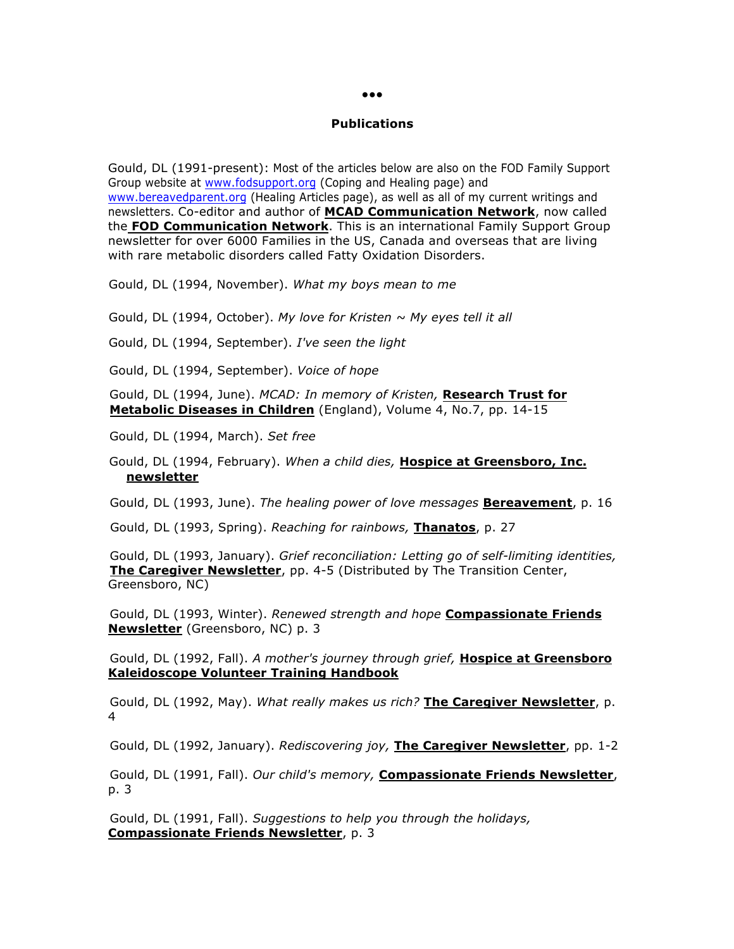#### **Publications**

Gould, DL (1991-present): Most of the articles below are also on the FOD Family Support Group website at www.fodsupport.org (Coping and Healing page) and www.bereavedparent.org (Healing Articles page), as well as all of my current writings and newsletters. Co-editor and author of **MCAD Communication Network**, now called the **FOD Communication Network**. This is an international Family Support Group newsletter for over 6000 Families in the US, Canada and overseas that are living with rare metabolic disorders called Fatty Oxidation Disorders.

Gould, DL (1994, November). *What my boys mean to me*

Gould, DL (1994, October). *My love for Kristen ~ My eyes tell it all*

Gould, DL (1994, September). *I've seen the light*

Gould, DL (1994, September). *Voice of hope*

Gould, DL (1994, June). *MCAD: In memory of Kristen,* **Research Trust for Metabolic Diseases in Children** (England), Volume 4, No.7, pp. 14-15

Gould, DL (1994, March). *Set free*

Gould, DL (1994, February). *When a child dies,* **Hospice at Greensboro, Inc. newsletter**

Gould, DL (1993, June). *The healing power of love messages* **Bereavement**, p. 16

Gould, DL (1993, Spring). *Reaching for rainbows,* **Thanatos**, p. 27

Gould, DL (1993, January). *Grief reconciliation: Letting go of self-limiting identities,* **The Caregiver Newsletter**, pp. 4-5 (Distributed by The Transition Center, Greensboro, NC)

Gould, DL (1993, Winter). *Renewed strength and hope* **Compassionate Friends Newsletter** (Greensboro, NC) p. 3

Gould, DL (1992, Fall). *A mother's journey through grief,* **Hospice at Greensboro Kaleidoscope Volunteer Training Handbook**

Gould, DL (1992, May). *What really makes us rich?* **The Caregiver Newsletter**, p. 4

Gould, DL (1992, January). *Rediscovering joy,* **The Caregiver Newsletter**, pp. 1-2

Gould, DL (1991, Fall). *Our child's memory,* **Compassionate Friends Newsletter**, p. 3

Gould, DL (1991, Fall). *Suggestions to help you through the holidays,*  **Compassionate Friends Newsletter**, p. 3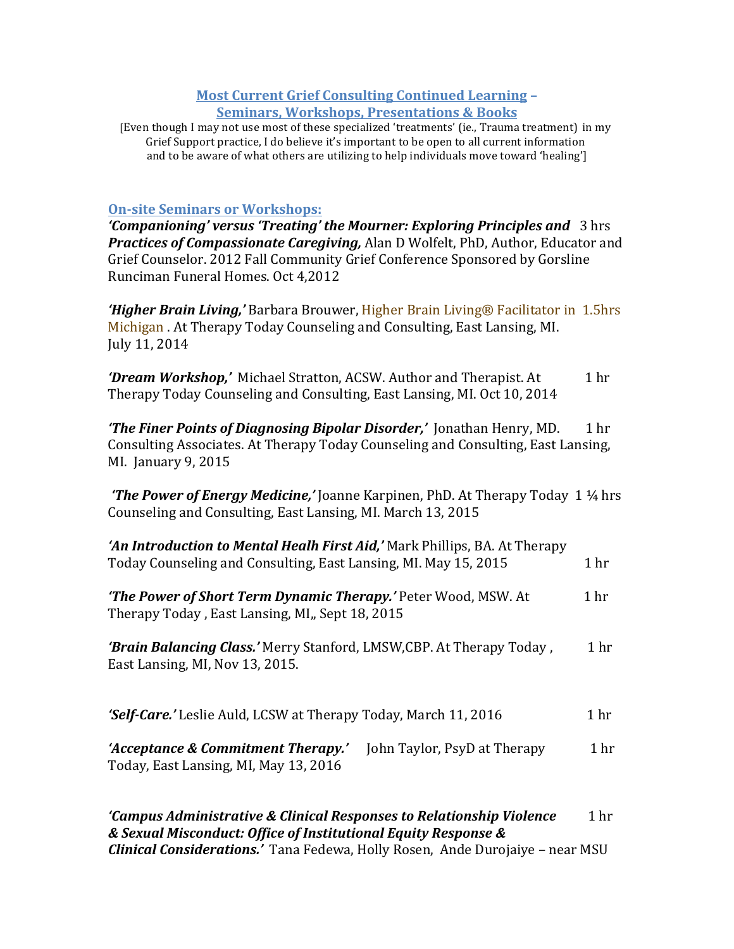# **Most Current Grief Consulting Continued Learning -Seminars, Workshops, Presentations & Books**

[Even though I may not use most of these specialized 'treatments' (ie., Trauma treatment) in my Grief Support practice, I do believe it's important to be open to all current information and to be aware of what others are utilizing to help individuals move toward 'healing']

# **On-site Seminars or Workshops:**

*'Companioning'* versus 'Treating' the Mourner: Exploring Principles and 3 hrs **Practices of Compassionate Caregiving,** Alan D Wolfelt, PhD, Author, Educator and Grief Counselor. 2012 Fall Community Grief Conference Sponsored by Gorsline Runciman Funeral Homes. Oct 4,2012 

**'Higher Brain Living,'** Barbara Brouwer, Higher Brain Living® Facilitator in 1.5hrs Michigan . At Therapy Today Counseling and Consulting, East Lansing, MI. July 11, 2014 

**'Dream Workshop,'** Michael Stratton, ACSW. Author and Therapist. At 1 hr Therapy Today Counseling and Consulting, East Lansing, MI. Oct 10, 2014

*'The Finer Points of Diagnosing Bipolar Disorder,'* **Jonathan Henry, MD. 1 hr** Consulting Associates. At Therapy Today Counseling and Consulting, East Lansing, MI. January 9, 2015

*'The Power of Energy Medicine,'* Joanne Karpinen, PhD. At Therapy Today 1 <sup>1</sup>/<sub>4</sub> hrs Counseling and Consulting, East Lansing, MI. March 13, 2015

| 'An Introduction to Mental Healh First Aid,' Mark Phillips, BA. At Therapy<br>Today Counseling and Consulting, East Lansing, MI. May 15, 2015 | 1 <sub>hr</sub> |
|-----------------------------------------------------------------------------------------------------------------------------------------------|-----------------|
| <b>The Power of Short Term Dynamic Therapy.'</b> Peter Wood, MSW. At<br>Therapy Today, East Lansing, MI,, Sept 18, 2015                       |                 |
| 'Brain Balancing Class.' Merry Stanford, LMSW, CBP. At Therapy Today,<br>East Lansing, MI, Nov 13, 2015.                                      | 1 <sub>hr</sub> |
| <b>'Self-Care.'</b> Leslie Auld, LCSW at Therapy Today, March 11, 2016                                                                        | 1 <sub>hr</sub> |
| 'Acceptance & Commitment Therapy.'<br>John Taylor, PsyD at Therapy<br>Today, East Lansing, MI, May 13, 2016                                   | 1 <sub>hr</sub> |

*'Campus Administrative & Clinical Responses to Relationship Violence*  1 hr *& Sexual Misconduct: Office of Institutional Equity Response & Clinical Considerations.'* Tana Fedewa, Holly Rosen, Ande Durojaiye – near MSU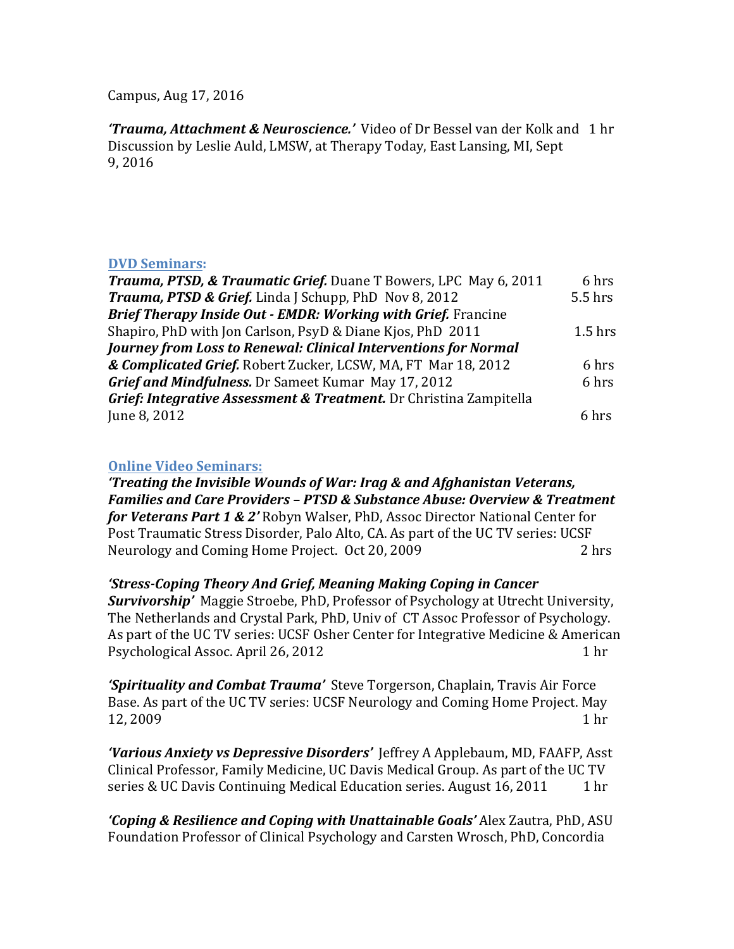Campus, Aug 17, 2016

*'Trauma, Attachment & Neuroscience.'* Video of Dr Bessel van der Kolk and 1 hr Discussion by Leslie Auld, LMSW, at Therapy Today, East Lansing, MI, Sept 9, 2016 

## **DVD Seminars:**

| <b>Trauma, PTSD, &amp; Traumatic Grief.</b> Duane T Bowers, LPC May 6, 2011 | 6 hrs     |
|-----------------------------------------------------------------------------|-----------|
| <b>Trauma, PTSD &amp; Grief.</b> Linda J Schupp, PhD Nov 8, 2012            | 5.5 hrs   |
| <b>Brief Therapy Inside Out - EMDR: Working with Grief.</b> Francine        |           |
| Shapiro, PhD with Jon Carlson, PsyD & Diane Kjos, PhD 2011                  | $1.5$ hrs |
| Journey from Loss to Renewal: Clinical Interventions for Normal             |           |
| & Complicated Grief. Robert Zucker, LCSW, MA, FT Mar 18, 2012               | 6 hrs     |
| <b>Grief and Mindfulness.</b> Dr Sameet Kumar May 17, 2012                  | 6 hrs     |
| Grief: Integrative Assessment & Treatment. Dr Christina Zampitella          |           |
| June 8, 2012                                                                | 6 hrs     |

## **Online Video Seminars:**

*'Treating the Invisible Wounds of War: Irag & and Afghanistan Veterans, Families and Care Providers - PTSD & Substance Abuse: Overview & Treatment for Veterans Part 1 & 2'* Robyn Walser, PhD, Assoc Director National Center for Post Traumatic Stress Disorder, Palo Alto, CA. As part of the UC TV series: UCSF Neurology and Coming Home Project. Oct 20, 2009 2 hrs

*'Stress-Coping Theory And Grief, Meaning Making Coping in Cancer* **Survivorship'** Maggie Stroebe, PhD, Professor of Psychology at Utrecht University, The Netherlands and Crystal Park, PhD, Univ of CT Assoc Professor of Psychology. As part of the UC TV series: UCSF Osher Center for Integrative Medicine & American Psychological Assoc. April 26, 2012 1 hr

'Spirituality and Combat Trauma' Steve Torgerson, Chaplain, Travis Air Force Base. As part of the UC TV series: UCSF Neurology and Coming Home Project. May 12, 2009 1 hr

'Various Anxiety vs Depressive Disorders' Jeffrey A Applebaum, MD, FAAFP, Asst Clinical Professor, Family Medicine, UC Davis Medical Group. As part of the UC TV series & UC Davis Continuing Medical Education series. August  $16, 2011 \qquad 1 \text{ hr}$ 

*'Coping & Resilience and Coping with Unattainable Goals'* Alex Zautra, PhD, ASU Foundation Professor of Clinical Psychology and Carsten Wrosch, PhD, Concordia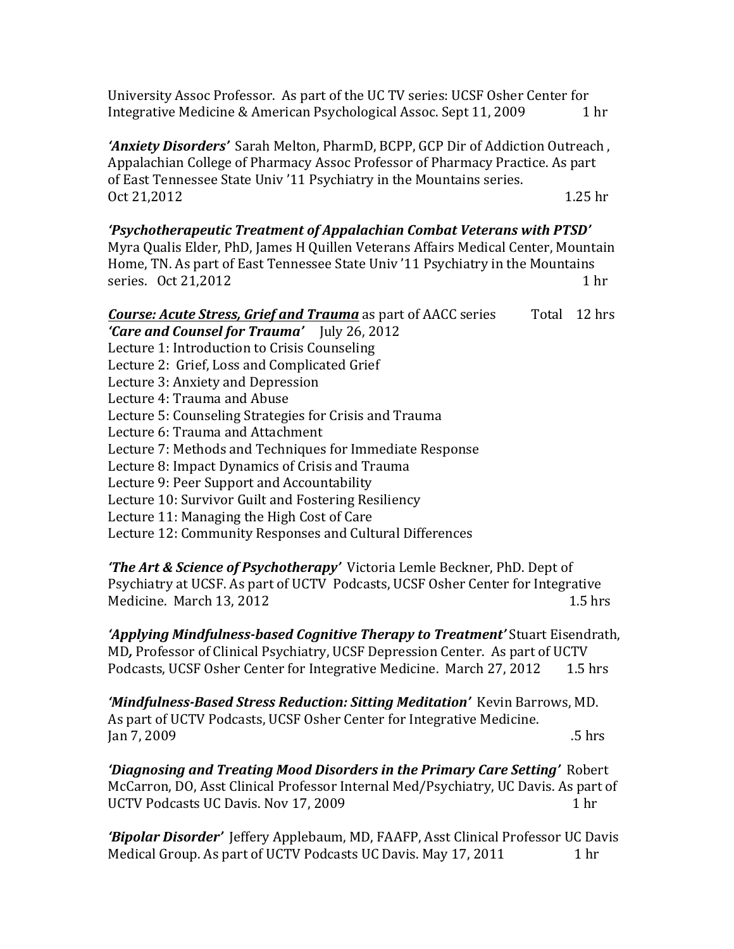University Assoc Professor. As part of the UC TV series: UCSF Osher Center for Integrative Medicine & American Psychological Assoc. Sept 11, 2009 1hr

**'Anxiety Disorders'** Sarah Melton, PharmD, BCPP, GCP Dir of Addiction Outreach, Appalachian College of Pharmacy Assoc Professor of Pharmacy Practice. As part of East Tennessee State Univ '11 Psychiatry in the Mountains series. Oct 21,2012 1.25 hr

## 'Psychotherapeutic Treatment of Appalachian Combat Veterans with PTSD'

Myra Qualis Elder, PhD, James H Quillen Veterans Affairs Medical Center, Mountain Home, TN. As part of East Tennessee State Univ '11 Psychiatry in the Mountains series.  $\cot 21,2012$  1 hr

| <b>Course: Acute Stress, Grief and Trauma</b> as part of AACC series               | Total 12 hrs |
|------------------------------------------------------------------------------------|--------------|
| <b>'Care and Counsel for Trauma'</b> July 26, 2012                                 |              |
| Lecture 1: Introduction to Crisis Counseling                                       |              |
| Lecture 2: Grief, Loss and Complicated Grief                                       |              |
| Lecture 3: Anxiety and Depression                                                  |              |
| Lecture 4: Trauma and Abuse                                                        |              |
| Lecture 5: Counseling Strategies for Crisis and Trauma                             |              |
| Lecture 6: Trauma and Attachment                                                   |              |
| Lecture 7: Methods and Techniques for Immediate Response                           |              |
| Lecture 8: Impact Dynamics of Crisis and Trauma                                    |              |
| Lecture 9: Peer Support and Accountability                                         |              |
| Lecture 10: Survivor Guilt and Fostering Resiliency                                |              |
| Lecture 11: Managing the High Cost of Care                                         |              |
| Lecture 12: Community Responses and Cultural Differences                           |              |
|                                                                                    |              |
| <b>The Lut &amp; Coinnes of Doughathorany' Victoria Lambe Decimen DhD, Dent of</b> |              |

*'The Art & Science of Psychotherapy'* Victoria Lemle Beckner, PhD. Dept of Psychiatry at UCSF. As part of UCTV Podcasts, UCSF Osher Center for Integrative Medicine. March 13, 2012  $\overline{a}$  1.5 hrs

'Applying Mindfulness-based Cognitive Therapy to Treatment' Stuart Eisendrath, MD, Professor of Clinical Psychiatry, UCSF Depression Center. As part of UCTV Podcasts, UCSF Osher Center for Integrative Medicine. March 27, 2012 1.5 hrs

*'Mindfulness-Based Stress Reduction: Sitting Meditation'* Kevin Barrows, MD. As part of UCTV Podcasts, UCSF Osher Center for Integrative Medicine.  $\frac{1}{2}$  Jan 7, 2009

*'Diagnosing and Treating Mood Disorders in the Primary Care Setting'* **Robert** McCarron, DO, Asst Clinical Professor Internal Med/Psychiatry, UC Davis. As part of UCTV Podcasts UC Davis. Nov 17, 2009 1 hr

'Bipolar Disorder' Jeffery Applebaum, MD, FAAFP, Asst Clinical Professor UC Davis Medical Group. As part of UCTV Podcasts UC Davis. May 17, 2011 1hr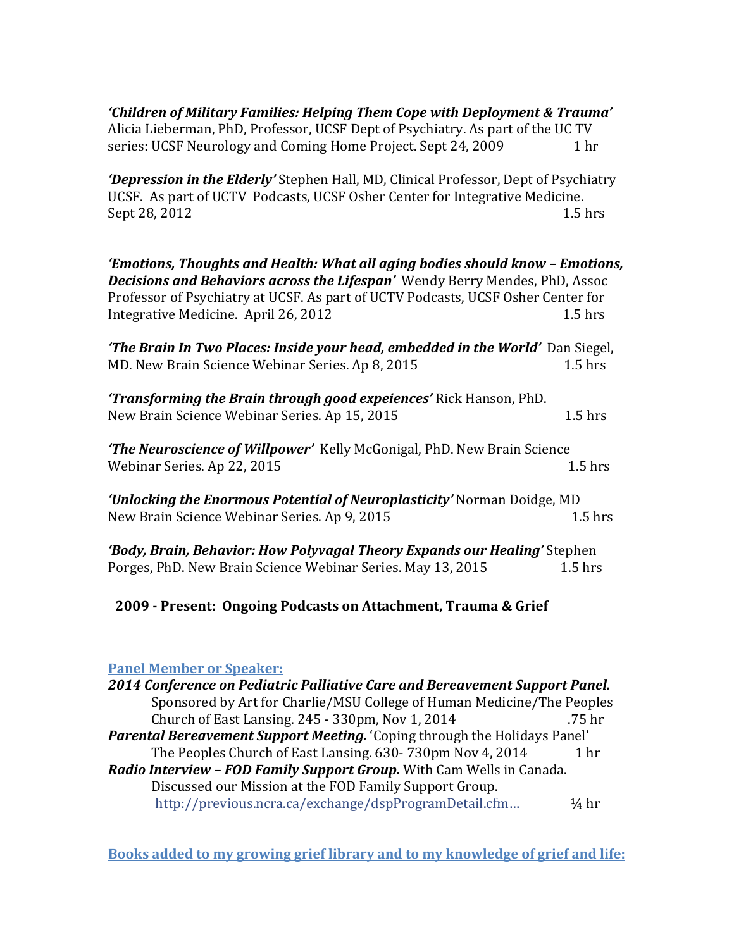'Children of Military Families: Helping Them Cope with Deployment & Trauma' Alicia Lieberman, PhD, Professor, UCSF Dept of Psychiatry. As part of the UC TV series: UCSF Neurology and Coming Home Project. Sept 24, 2009 1 hr

*'Depression in the Elderly'* Stephen Hall, MD, Clinical Professor, Dept of Psychiatry UCSF. As part of UCTV Podcasts, UCSF Osher Center for Integrative Medicine. Sept 28, 2012 1.5 hrs

*'Emotions, Thoughts and Health: What all aging bodies should know - Emotions,* **Decisions and Behaviors across the Lifespan'** Wendy Berry Mendes, PhD, Assoc Professor of Psychiatry at UCSF. As part of UCTV Podcasts, UCSF Osher Center for Integrative Medicine. April 26, 2012 1.5 hrs

**The Brain In Two Places: Inside your head, embedded in the World'** Dan Siegel, MD. New Brain Science Webinar Series. Ap 8, 2015

'Transforming the Brain through good expeiences' Rick Hanson, PhD. New Brain Science Webinar Series. Ap 15, 2015 1.5 hrs

*'The Neuroscience of Willpower'* Kelly McGonigal, PhD. New Brain Science Webinar Series. Ap 22, 2015  $\sqrt{1.5}$  hrs

*'Unlocking the Enormous Potential of Neuroplasticity'* Norman Doidge, MD New Brain Science Webinar Series. Ap 9, 2015

*'Body, Brain, Behavior: How Polyvagal Theory Expands our Healing'* **Stephen** Porges, PhD. New Brain Science Webinar Series. May 13, 2015 1.5 hrs

**2009 - Present: Ongoing Podcasts on Attachment, Trauma & Grief**

# **Panel Member or Speaker:**

**2014 Conference on Pediatric Palliative Care and Bereavement Support Panel.** Sponsored by Art for Charlie/MSU College of Human Medicine/The Peoples Church of East Lansing.  $245 - 330$ pm, Nov  $1, 2014$  .75 hr **Parental Bereavement Support Meeting.** 'Coping through the Holidays Panel' The Peoples Church of East Lansing.  $630 - 730$ pm Nov 4, 2014 1 hr *Radio Interview - FOD Family Support Group.* With Cam Wells in Canada. Discussed our Mission at the FOD Family Support Group. http://previous.ncra.ca/exchange/dspProgramDetail.cfm... 44 hr

**Books added to my growing grief library and to my knowledge of grief and life:**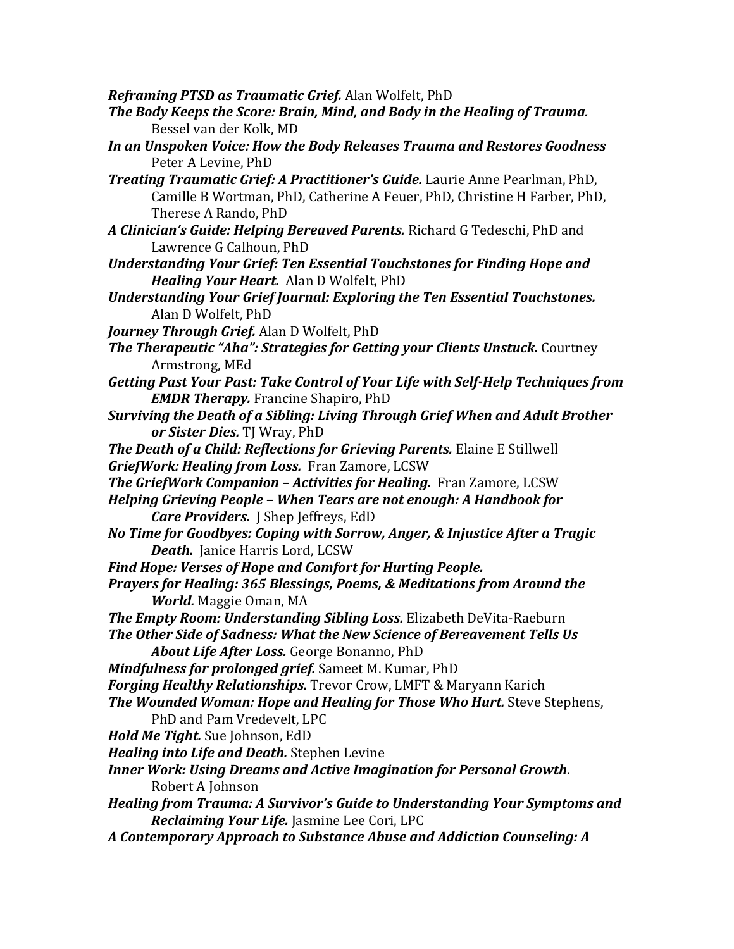*Reframing PTSD as Traumatic Grief.* Alan Wolfelt, PhD

- The Body Keeps the Score: Brain, Mind, and Body in the Healing of Trauma. Bessel van der Kolk, MD
- In an Unspoken Voice: How the Body Releases Trauma and Restores Goodness Peter A Levine, PhD
- *Treating Traumatic Grief: A Practitioner's Guide.* Laurie Anne Pearlman, PhD, Camille B Wortman, PhD, Catherine A Feuer, PhD, Christine H Farber, PhD, Therese A Rando, PhD
- A Clinician's Guide: Helping Bereaved Parents. Richard G Tedeschi, PhD and Lawrence G Calhoun, PhD
- Understanding Your Grief: Ten Essential Touchstones for Finding Hope and *Healing Your Heart.* Alan D Wolfelt, PhD
- *Understanding Your Grief Journal: Exploring the Ten Essential Touchstones.* Alan D Wolfelt, PhD
- *Journey Through Grief.* Alan D Wolfelt, PhD
- *The Therapeutic "Aha": Strategies for Getting your Clients Unstuck. Courtney* Armstrong, MEd
- Getting Past Your Past: Take Control of Your Life with Self-Help Techniques from *EMDR Therapy.* Francine Shapiro, PhD
- **Surviving the Death of a Sibling: Living Through Grief When and Adult Brother** *or Sister Dies.* TJ Wray, PhD
- *The Death of a Child: Reflections for Grieving Parents.* **Elaine E Stillwell** *GriefWork: Healing from Loss. Fran Zamore, LCSW*
- *The GriefWork Companion Activities for Healing.* Fran Zamore, LCSW
- *Helping Grieving People When Tears are not enough: A Handbook for Care Providers.* J Shep Jeffreys, EdD
- *No Time for Goodbyes: Coping with Sorrow, Anger, & Injustice After a Tragic* **Death.** Janice Harris Lord, LCSW
- Find Hope: Verses of Hope and Comfort for Hurting People.

*Prayers for Healing: 365 Blessings, Poems, & Meditations from Around the World.* Maggie Oman, MA

- *The Empty Room: Understanding Sibling Loss.* Elizabeth DeVita-Raeburn
- The Other Side of Sadness: What the New Science of Bereavement Tells Us About Life After Loss. George Bonanno, PhD
- *Mindfulness for prolonged grief.* Sameet M. Kumar, PhD

Forging Healthy Relationships. Trevor Crow, LMFT & Maryann Karich

*The Wounded Woman: Hope and Healing for Those Who Hurt.* **Steve Stephens,** PhD and Pam Vredevelt, LPC

*Hold Me Tight.* Sue Johnson, EdD

- *Healing into Life and Death.* Stephen Levine
- *Inner Work: Using Dreams and Active Imagination for Personal Growth.* Robert A Johnson
- *Healing from Trauma: A Survivor's Guide to Understanding Your Symptoms and* **Reclaiming Your Life.** Jasmine Lee Cori, LPC
- *A Contemporary Approach to Substance Abuse and Addiction Counseling: A*